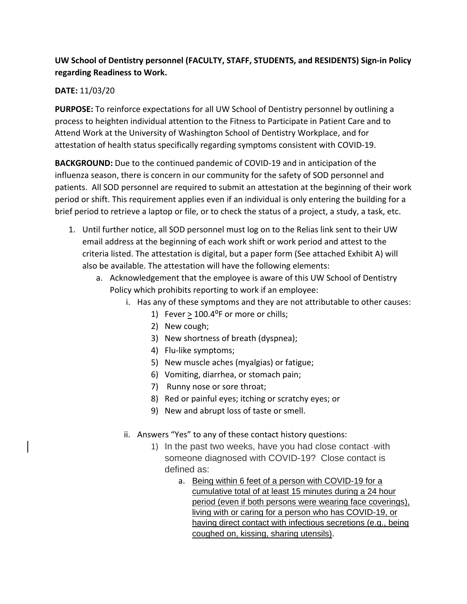## **UW School of Dentistry personnel (FACULTY, STAFF, STUDENTS, and RESIDENTS) Sign-in Policy regarding Readiness to Work.**

## **DATE:** 11/03/20

**PURPOSE:** To reinforce expectations for all UW School of Dentistry personnel by outlining a process to heighten individual attention to the Fitness to Participate in Patient Care and to Attend Work at the University of Washington School of Dentistry Workplace, and for attestation of health status specifically regarding symptoms consistent with COVID-19.

**BACKGROUND:** Due to the continued pandemic of COVID-19 and in anticipation of the influenza season, there is concern in our community for the safety of SOD personnel and patients. All SOD personnel are required to submit an attestation at the beginning of their work period or shift. This requirement applies even if an individual is only entering the building for a brief period to retrieve a laptop or file, or to check the status of a project, a study, a task, etc.

- 1. Until further notice, all SOD personnel must log on to the Relias link sent to their UW email address at the beginning of each work shift or work period and attest to the criteria listed. The attestation is digital, but a paper form (See attached Exhibit A) will also be available. The attestation will have the following elements:
	- a. Acknowledgement that the employee is aware of this UW School of Dentistry Policy which prohibits reporting to work if an employee:
		- i. Has any of these symptoms and they are not attributable to other causes:
			- 1) Fever  $> 100.4$ <sup>o</sup>F or more or chills;
			- 2) New cough;
			- 3) New shortness of breath (dyspnea);
			- 4) Flu-like symptoms;
			- 5) New muscle aches (myalgias) or fatigue;
			- 6) Vomiting, diarrhea, or stomach pain;
			- 7) Runny nose or sore throat;
			- 8) Red or painful eyes; itching or scratchy eyes; or
			- 9) New and abrupt loss of taste or smell.
		- ii. Answers "Yes" to any of these contact history questions:
			- 1) In the past two weeks, have you had close contact -with someone diagnosed with COVID-19? Close contact is defined as:
				- a. Being within 6 feet of a person with COVID-19 for a cumulative total of at least 15 minutes during a 24 hour period (even if both persons were wearing face coverings), living with or caring for a person who has COVID-19, or having direct contact with infectious secretions (e.g., being coughed on, kissing, sharing utensils).